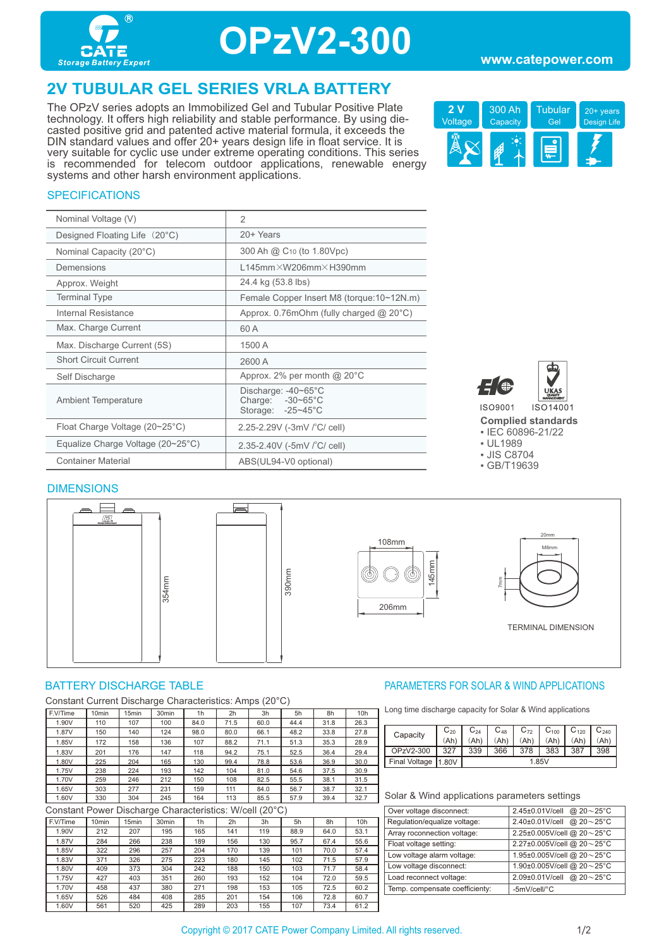

## **OPzV2-300**

#### **www.catepower.com**

## **2V TUBULAR GEL SERIES VRLA BATTERY**

The OPzV series adopts an Immobilized Gel and Tubular Positive Plate technology. It offers high reliability and stable performance. By using diecasted positive grid and patented active material formula, it exceeds the DIN standard values and offer 20+ years design life in float service. It is very suitable for cyclic use under extreme operating conditions. This series is recommended for telecom outdoor applications, renewable energy systems and other harsh environment applications.



#### **SPECIFICATIONS**

| Nominal Voltage (V)                               | $\overline{2}$                                                          |
|---------------------------------------------------|-------------------------------------------------------------------------|
| Designed Floating Life (20°C)                     | 20+ Years                                                               |
| Nominal Capacity (20°C)                           | 300 Ah @ C <sub>10</sub> (to 1.80Vpc)                                   |
| Demensions                                        | $L145$ mm $\times$ W206mm $\times$ H390mm                               |
| Approx. Weight                                    | 24.4 kg (53.8 lbs)                                                      |
| <b>Terminal Type</b>                              | Female Copper Insert M8 (torque:10~12N.m)                               |
| Internal Resistance                               | Approx. 0.76mOhm (fully charged $@$ 20 $°C$ )                           |
| Max. Charge Current                               | 60 A                                                                    |
| Max. Discharge Current (5S)                       | 1500 A                                                                  |
| <b>Short Circuit Current</b>                      | 2600 A                                                                  |
| Self Discharge                                    | Approx. 2% per month $@$ 20 $°C$                                        |
| <b>Ambient Temperature</b>                        | Discharge: -40~65°C<br>Charge: $-30-65^{\circ}$ C<br>Storage: - 25~45°C |
| Float Charge Voltage (20~25°C)                    | 2.25-2.29V (-3mV /°C/ cell)                                             |
| Equalize Charge Voltage $(20~25~{\rm ^{\circ}C})$ | 2.35-2.40V (-5mV / °C/ cell)                                            |
| <b>Container Material</b>                         | ABS(UL94-V0 optional)                                                   |



**Complied standards** 

- IEC 60896-21/22 ▪ UL1989
- JIS C8704
- GB/T19639



Constant Current Discharge Characteristics: Amps (20°C)

| F.V/Time | 10 <sub>min</sub> | 15min | 30 <sub>min</sub> | 1h   | 2 <sub>h</sub> | 3h   | 5h   | 8h   | 10 <sub>h</sub> |
|----------|-------------------|-------|-------------------|------|----------------|------|------|------|-----------------|
| 1.90V    | 110               | 107   | 100               | 84.0 | 71.5           | 60.0 | 44.4 | 31.8 | 26.3            |
| 1.87V    | 150               | 140   | 124               | 98.0 | 80.0           | 66.1 | 48.2 | 33.8 | 27.8            |
| 1.85V    | 172               | 158   | 136               | 107  | 88.2           | 71.1 | 51.3 | 35.3 | 28.9            |
| 1.83V    | 201               | 176   | 147               | 118  | 94.2           | 75.1 | 52.5 | 36.4 | 29.4            |
| 1.80V    | 225               | 204   | 165               | 130  | 99.4           | 78.8 | 53.6 | 36.9 | 30.0            |
| 1.75V    | 238               | 224   | 193               | 142  | 104            | 81.0 | 54.6 | 37.5 | 30.9            |
| 1.70V    | 259               | 246   | 212               | 150  | 108            | 82.5 | 55.5 | 38.1 | 31.5            |
| 1.65V    | 303               | 277   | 231               | 159  | 111            | 84.0 | 56.7 | 38.7 | 32.1            |
| 1.60V    | 330               | 304   | 245               | 164  | 113            | 85.5 | 57.9 | 39.4 | 32.7            |

Constant Power Discharge Characteristics: W/cell (20°C)

| F.V/Time | 10 <sub>min</sub> | 15 <sub>min</sub> | 30 <sub>min</sub> | 1h  | 2 <sub>h</sub> | 3h  | 5h   | 8h   | 10 <sub>h</sub> |
|----------|-------------------|-------------------|-------------------|-----|----------------|-----|------|------|-----------------|
| 1.90V    | 212               | 207               | 195               | 165 | 141            | 119 | 88.9 | 64.0 | 53.1            |
| 1.87V    | 284               | 266               | 238               | 189 | 156            | 130 | 95.7 | 67.4 | 55.6            |
| 1.85V    | 322               | 296               | 257               | 204 | 170            | 139 | 101  | 70.0 | 57.4            |
| 1.83V    | 371               | 326               | 275               | 223 | 180            | 145 | 102  | 71.5 | 57.9            |
| 1.80V    | 409               | 373               | 304               | 242 | 188            | 150 | 103  | 71.7 | 58.4            |
| 1.75V    | 427               | 403               | 351               | 260 | 193            | 152 | 104  | 72.0 | 59.5            |
| 1.70V    | 458               | 437               | 380               | 271 | 198            | 153 | 105  | 72.5 | 60.2            |
| 1.65V    | 526               | 484               | 408               | 285 | 201            | 154 | 106  | 72.8 | 60.7            |
| 1.60V    | 561               | 520               | 425               | 289 | 203            | 155 | 107  | 73.4 | 61.2            |

#### BATTERY DISCHARGE TABLE **External of the Solution State of the PARAMETERS FOR SOLAR & WIND APPLICATIONS**

Long time discharge capacity for Solar & Wind applications

|                 |          | $\mathsf{C}_{24}$ | $C_{48}$ | $C_{72}$ | $C_{100}$ | $C_{120}$ | $C_{240}$ |
|-----------------|----------|-------------------|----------|----------|-----------|-----------|-----------|
| Capacity        | $C_{20}$ |                   |          |          |           |           |           |
|                 | (Ah)     | Ah)               | Ah)      | (Ah      | (Ah       | (Ah       | (Ah       |
| OPzV2-300       |          | 339               | 366      | 378      | 383       | 387       | 398       |
| Final Voltage ' | 11.80V   | 1.85V             |          |          |           |           |           |

| Over voltage disconnect:       | 2.45±0.01V/cell @ 20~25°C         |
|--------------------------------|-----------------------------------|
| Regulation/equalize voltage:   | @ $20 - 25$ °C<br>2.40±0.01V/cell |
| Array roconnection voltage:    | 2.25±0.005V/cell @ 20~25°C        |
| Float voltage setting:         | 2.27±0.005V/cell @ 20~25°C        |
| Low voltage alarm voltage:     | 1.95±0.005V/cell @ 20~25°C        |
| Low voltage disconnect:        | 1.90±0.005V/cell @ 20~25°C        |
| Load reconnect voltage:        | 2.09±0.01V/cell @ 20~25°C         |
| Temp. compensate coefficienty: | -5mV/cell/°C                      |